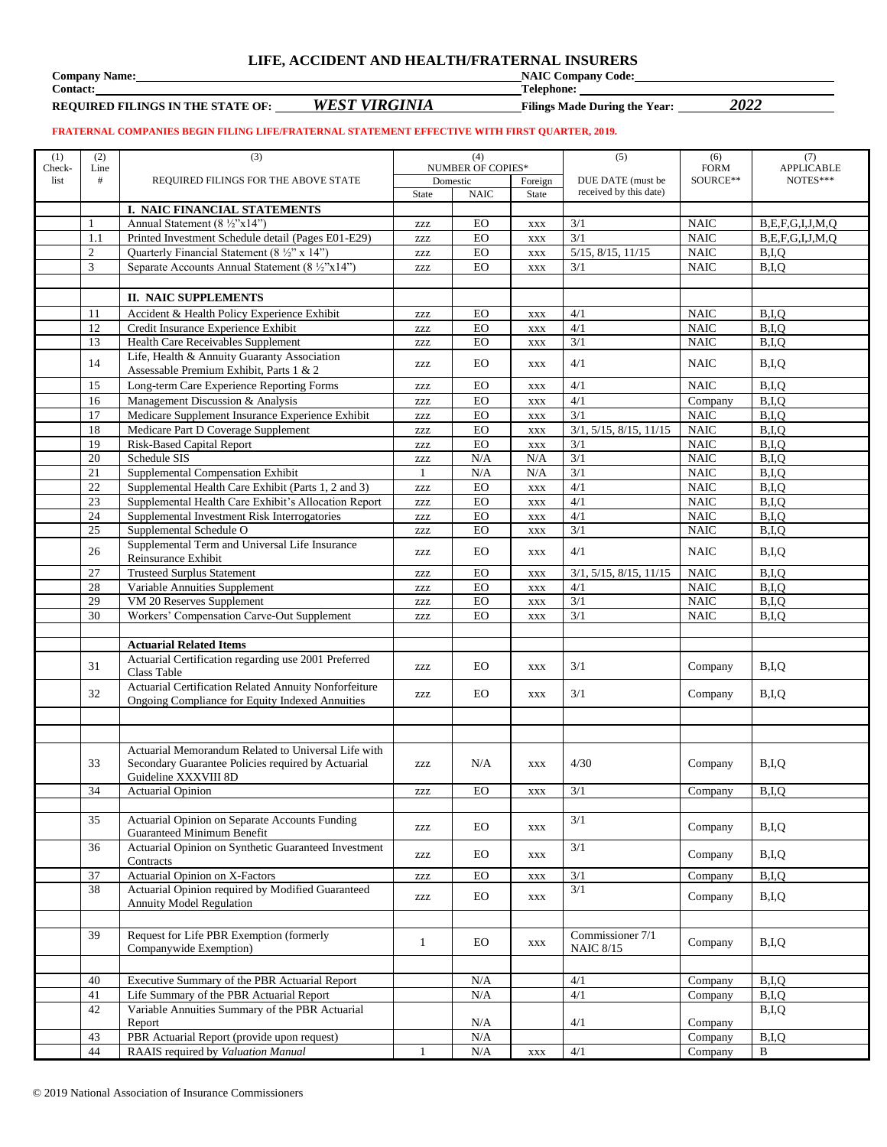#### **LIFE, ACCIDENT AND HEALTH/FRATERNAL INSURERS**

**Company Name: NAIC Company Code: Contact: NAIC Company Code: Contact: Pelphone: NAIC Company Code: Contact: Pelphone: Pelphone: Pelphone: Pelphone: Pelphone: Pelphone: Pelphone: Pelphone: P** 

**REQUIRED FILINGS IN THE STATE OF:** *WEST VIRGINIA* **Filings Made During the Year:** *2022*

**Contact: Telephone:** 

#### **FRATERNAL COMPANIES BEGIN FILING LIFE/FRATERNAL STATEMENT EFFECTIVE WITH FIRST QUARTER, 2019.**

| (1)    | (2)            | (3)                                                                                                       | (4)          |                          | (5)            | (6)                                         | (7)                        |                                                  |
|--------|----------------|-----------------------------------------------------------------------------------------------------------|--------------|--------------------------|----------------|---------------------------------------------|----------------------------|--------------------------------------------------|
| Check- | Line           |                                                                                                           |              | <b>NUMBER OF COPIES*</b> |                |                                             | <b>FORM</b>                | APPLICABLE                                       |
| list   | #              | REQUIRED FILINGS FOR THE ABOVE STATE                                                                      |              | Domestic                 | Foreign        | DUE DATE (must be<br>received by this date) | SOURCE**                   | NOTES***                                         |
|        |                |                                                                                                           | State        | <b>NAIC</b>              | State          |                                             |                            |                                                  |
|        |                | I. NAIC FINANCIAL STATEMENTS<br>Annual Statement (8 ½"x14")                                               |              |                          |                |                                             |                            |                                                  |
|        | 1<br>1.1       | Printed Investment Schedule detail (Pages E01-E29)                                                        | ZZZ          | EO<br>EO                 | $\mathbf{XXX}$ | 3/1<br>3/1                                  | <b>NAIC</b><br><b>NAIC</b> | B, E, F, G, I, J, M, Q<br>B, E, F, G, I, J, M, Q |
|        | $\mathfrak{2}$ | Quarterly Financial Statement (8 1/2" x 14")                                                              | <b>ZZZ</b>   | EO                       | <b>XXX</b>     | $5/15$ , $8/15$ , $11/15$                   | $\rm NAIC$                 | B,I,Q                                            |
|        | 3              | Separate Accounts Annual Statement (8 ½"x14")                                                             | <b>ZZZ</b>   | EO                       | <b>XXX</b>     | 3/1                                         | <b>NAIC</b>                | B,I,Q                                            |
|        |                |                                                                                                           | <b>ZZZ</b>   |                          | <b>XXX</b>     |                                             |                            |                                                  |
|        |                | <b>II. NAIC SUPPLEMENTS</b>                                                                               |              |                          |                |                                             |                            |                                                  |
|        |                |                                                                                                           |              |                          |                |                                             |                            |                                                  |
|        | 11             | Accident & Health Policy Experience Exhibit                                                               | ZZZ          | EO                       | <b>XXX</b>     | 4/1<br>4/1                                  | <b>NAIC</b>                | B.I.O                                            |
|        | 12<br>13       | Credit Insurance Experience Exhibit<br>Health Care Receivables Supplement                                 | ZZZ          | EO<br>EO                 | <b>XXX</b>     | 3/1                                         | $\rm NAIC$<br><b>NAIC</b>  | B,I,Q<br>B,I,Q                                   |
|        |                | Life, Health & Annuity Guaranty Association                                                               | <b>ZZZ</b>   |                          | <b>XXX</b>     |                                             |                            |                                                  |
|        | 14             | Assessable Premium Exhibit, Parts 1 & 2                                                                   | ZZZ          | EO                       | XXX            | 4/1                                         | <b>NAIC</b>                | B,I,Q                                            |
|        | 15             | Long-term Care Experience Reporting Forms                                                                 | ZZZ          | EO                       | <b>XXX</b>     | 4/1                                         | <b>NAIC</b>                | B,I,Q                                            |
|        | 16             | Management Discussion & Analysis                                                                          | ZZZ          | <b>EO</b>                | $\mathbf{XXX}$ | 4/1                                         | Company                    | B,I,Q                                            |
|        | 17             | Medicare Supplement Insurance Experience Exhibit                                                          | <b>ZZZ</b>   | EO                       | <b>XXX</b>     | 3/1                                         | <b>NAIC</b>                | B,I,Q                                            |
|        | 18             | Medicare Part D Coverage Supplement                                                                       | ZZZ          | EO                       | <b>XXX</b>     | 3/1, 5/15, 8/15, 11/15                      | <b>NAIC</b>                | B,I,Q                                            |
|        | 19             | <b>Risk-Based Capital Report</b>                                                                          | ZZZ          | EO                       | $\mathbf{XXX}$ | 3/1                                         | <b>NAIC</b>                | B,I,Q                                            |
|        | 20             | Schedule SIS                                                                                              | ZZZ          | N/A                      | N/A            | 3/1                                         | <b>NAIC</b>                | B,I,Q                                            |
|        | 21             | Supplemental Compensation Exhibit                                                                         | $\mathbf{1}$ | N/A                      | N/A            | 3/1                                         | <b>NAIC</b>                | B,I,Q                                            |
|        | 22             | Supplemental Health Care Exhibit (Parts 1, 2 and 3)                                                       | ZZZ          | <b>EO</b>                | $\mathbf{XXX}$ | 4/1                                         | <b>NAIC</b>                | B.I.O                                            |
|        | 23             | Supplemental Health Care Exhibit's Allocation Report                                                      | <b>ZZZ</b>   | EO                       | <b>XXX</b>     | 4/1                                         | $\rm NAIC$                 | B,I,Q                                            |
|        | 24             | Supplemental Investment Risk Interrogatories                                                              | zzz          | EO                       | <b>XXX</b>     | 4/1                                         | <b>NAIC</b>                | B,I,Q                                            |
|        | 25             | Supplemental Schedule O                                                                                   | ZZZ          | <b>EO</b>                | $\mathbf{XXX}$ | 3/1                                         | $\rm NAIC$                 | B,I,Q                                            |
|        | 26             | Supplemental Term and Universal Life Insurance<br>Reinsurance Exhibit                                     | ZZZ          | EO                       | <b>XXX</b>     | 4/1                                         | <b>NAIC</b>                | B,I,Q                                            |
|        | 27             | <b>Trusteed Surplus Statement</b>                                                                         | <b>ZZZ</b>   | EO                       | $\mathbf{XXX}$ | 3/1, 5/15, 8/15, 11/15                      | <b>NAIC</b>                | B,I,Q                                            |
|        | 28             | Variable Annuities Supplement                                                                             | ZZZ          | <b>EO</b>                | <b>XXX</b>     | 4/1                                         | $\rm NAIC$                 | B,I,Q                                            |
|        | 29             | VM 20 Reserves Supplement                                                                                 | <b>ZZZ</b>   | EO                       | $\mathbf{XXX}$ | 3/1                                         | $\rm NAIC$                 | B,I,Q                                            |
|        | 30             | Workers' Compensation Carve-Out Supplement                                                                | <b>ZZZ</b>   | EO                       | $\mathbf{XXX}$ | 3/1                                         | <b>NAIC</b>                | B,I,Q                                            |
|        |                |                                                                                                           |              |                          |                |                                             |                            |                                                  |
|        |                | <b>Actuarial Related Items</b>                                                                            |              |                          |                |                                             |                            |                                                  |
|        | 31             | Actuarial Certification regarding use 2001 Preferred<br>Class Table                                       | ZZZ          | EO                       | XXX            | 3/1                                         | Company                    | B,I,Q                                            |
|        | 32             | Actuarial Certification Related Annuity Nonforfeiture<br>Ongoing Compliance for Equity Indexed Annuities  | ZZZ          | EO                       | $\mathbf{XXX}$ | 3/1                                         | Company                    | B,I,Q                                            |
|        |                |                                                                                                           |              |                          |                |                                             |                            |                                                  |
|        |                |                                                                                                           |              |                          |                |                                             |                            |                                                  |
|        | 33             | Actuarial Memorandum Related to Universal Life with<br>Secondary Guarantee Policies required by Actuarial | <b>ZZZ</b>   | N/A                      | <b>XXX</b>     | 4/30                                        | Company                    | B,I,Q                                            |
|        |                | Guideline XXXVIII 8D                                                                                      |              |                          |                |                                             |                            |                                                  |
|        | 34             | <b>Actuarial Opinion</b>                                                                                  | <b>ZZZ</b>   | EO                       | <b>XXX</b>     | 3/1                                         | Company                    | B.I.O                                            |
|        |                |                                                                                                           |              |                          |                |                                             |                            |                                                  |
|        | 35             | Actuarial Opinion on Separate Accounts Funding<br>Guaranteed Minimum Benefit                              | ZZZ          | EO.                      | <b>XXX</b>     | 3/1                                         | Company                    | B,I,Q                                            |
|        | 36             | Actuarial Opinion on Synthetic Guaranteed Investment<br>Contracts                                         | ZZZ          | EO.                      | XXX            | 3/1                                         | Company                    | B,I,Q                                            |
|        | 37             | Actuarial Opinion on X-Factors                                                                            | ZZZ          | EO                       | <b>XXX</b>     | 3/1                                         | Company                    | B,I,Q                                            |
|        | 38             | Actuarial Opinion required by Modified Guaranteed<br><b>Annuity Model Regulation</b>                      | ZZZ          | EO                       | <b>XXX</b>     | 3/1                                         | Company                    | B,I,Q                                            |
|        |                |                                                                                                           |              |                          |                |                                             |                            |                                                  |
|        | 39             | Request for Life PBR Exemption (formerly<br>Companywide Exemption)                                        | $\mathbf{1}$ | EO                       | <b>XXX</b>     | Commissioner 7/1<br><b>NAIC 8/15</b>        | Company                    | B,I,Q                                            |
|        |                |                                                                                                           |              |                          |                |                                             |                            |                                                  |
|        | 40             | Executive Summary of the PBR Actuarial Report                                                             |              | N/A                      |                | $4/1$                                       | Company                    | B,I,Q                                            |
|        | 41             | Life Summary of the PBR Actuarial Report                                                                  |              | N/A                      |                | 4/1                                         | Company                    | B,I,Q                                            |
|        | 42             | Variable Annuities Summary of the PBR Actuarial<br>Report                                                 |              | N/A                      |                | 4/1                                         | Company                    | B,I,Q                                            |
|        | 43             | PBR Actuarial Report (provide upon request)                                                               |              | N/A                      |                |                                             | Company                    | B,I,Q                                            |
|        | 44             | RAAIS required by Valuation Manual                                                                        | $\mathbf{1}$ | $\rm N/A$                | <b>XXX</b>     | 4/1                                         | Company                    | $\, {\bf B}$                                     |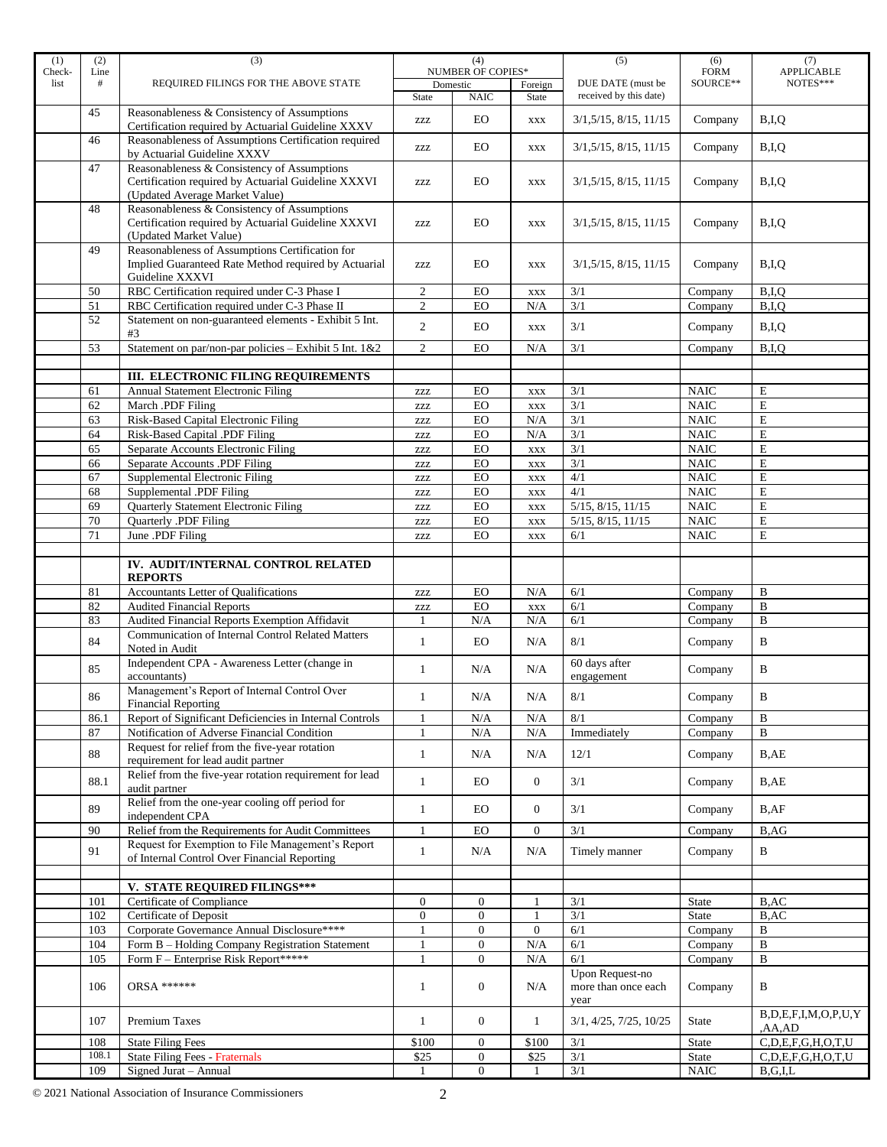| (1)    | (2)   | (3)                                                                                                | (4)            |                          | (5)            | (6)                         | (7)          |                              |
|--------|-------|----------------------------------------------------------------------------------------------------|----------------|--------------------------|----------------|-----------------------------|--------------|------------------------------|
| Check- | Line  |                                                                                                    |                | <b>NUMBER OF COPIES*</b> |                |                             | <b>FORM</b>  | <b>APPLICABLE</b>            |
| list   | #     | REQUIRED FILINGS FOR THE ABOVE STATE                                                               |                | Domestic                 | Foreign        | DUE DATE (must be           | SOURCE**     | NOTES***                     |
|        |       |                                                                                                    | State          | <b>NAIC</b>              | State          | received by this date)      |              |                              |
|        | 45    | Reasonableness & Consistency of Assumptions                                                        | <b>ZZZ</b>     | EO                       | <b>XXX</b>     | 3/1, 5/15, 8/15, 11/15      | Company      | B,I,Q                        |
|        |       | Certification required by Actuarial Guideline XXXV                                                 |                |                          |                |                             |              |                              |
|        | 46    | Reasonableness of Assumptions Certification required                                               | ZZZ            | EO                       | <b>XXX</b>     | 3/1,5/15,8/15,11/15         | Company      | B,I,Q                        |
|        | 47    | by Actuarial Guideline XXXV                                                                        |                |                          |                |                             |              |                              |
|        |       | Reasonableness & Consistency of Assumptions<br>Certification required by Actuarial Guideline XXXVI |                |                          |                |                             |              |                              |
|        |       | (Updated Average Market Value)                                                                     | ZZZ            | EO                       | <b>XXX</b>     | 3/1,5/15,8/15,11/15         | Company      | B,I,Q                        |
|        | 48    | Reasonableness & Consistency of Assumptions                                                        |                |                          |                |                             |              |                              |
|        |       | Certification required by Actuarial Guideline XXXVI                                                | <b>ZZZ</b>     | EO                       | <b>XXX</b>     | 3/1, 5/15, 8/15, 11/15      | Company      | B,I,Q                        |
|        |       | (Updated Market Value)                                                                             |                |                          |                |                             |              |                              |
|        | 49    | Reasonableness of Assumptions Certification for                                                    |                |                          |                |                             |              |                              |
|        |       | Implied Guaranteed Rate Method required by Actuarial                                               | <b>ZZZ</b>     | EO                       | <b>XXX</b>     | 3/1, 5/15, 8/15, 11/15      | Company      | B,I,Q                        |
|        |       | Guideline XXXVI                                                                                    |                |                          |                |                             |              |                              |
|        | 50    | RBC Certification required under C-3 Phase I                                                       | 2              | EO                       | XXX            | 3/1                         | Company      | B,I,Q                        |
|        | 51    | RBC Certification required under C-3 Phase II                                                      | $\overline{c}$ | EO                       | N/A            | 3/1                         | Company      | B,I,Q                        |
|        | 52    | Statement on non-guaranteed elements - Exhibit 5 Int.                                              | 2              | EO                       |                | 3/1                         | Company      | B,I,Q                        |
|        |       | #3                                                                                                 |                |                          | <b>XXX</b>     |                             |              |                              |
|        | 53    | Statement on par/non-par policies - Exhibit 5 Int. 1&2                                             | 2              | EO                       | N/A            | 3/1                         | Company      | B,I,Q                        |
|        |       |                                                                                                    |                |                          |                |                             |              |                              |
|        |       | III. ELECTRONIC FILING REQUIREMENTS                                                                |                |                          |                |                             |              |                              |
|        | 61    | <b>Annual Statement Electronic Filing</b>                                                          | <b>ZZZ</b>     | EO                       | <b>XXX</b>     | 3/1                         | <b>NAIC</b>  | E                            |
|        | 62    | March .PDF Filing                                                                                  | <b>ZZZ</b>     | EO                       | <b>XXX</b>     | 3/1                         | <b>NAIC</b>  | E                            |
|        | 63    | Risk-Based Capital Electronic Filing                                                               | <b>ZZZ</b>     | EO                       | N/A            | 3/1                         | <b>NAIC</b>  | $\mathbf E$                  |
|        | 64    | Risk-Based Capital .PDF Filing                                                                     | <b>ZZZ</b>     | <b>EO</b>                | N/A            | 3/1                         | <b>NAIC</b>  | E                            |
|        | 65    | Separate Accounts Electronic Filing                                                                | <b>ZZZ</b>     | EO                       | <b>XXX</b>     | 3/1                         | <b>NAIC</b>  | E                            |
|        | 66    | Separate Accounts .PDF Filing                                                                      | <b>ZZZ</b>     | EO                       | <b>XXX</b>     | 3/1                         | <b>NAIC</b>  | $\mathbf E$                  |
|        | 67    | Supplemental Electronic Filing                                                                     | <b>ZZZ</b>     | ${\rm EO}$               | <b>XXX</b>     | 4/1                         | <b>NAIC</b>  | E                            |
|        | 68    | Supplemental .PDF Filing                                                                           | <b>ZZZ</b>     | EO                       | <b>XXX</b>     | 4/1                         | <b>NAIC</b>  | E                            |
|        | 69    | Quarterly Statement Electronic Filing                                                              | <b>ZZZ</b>     | EO                       | $\mathbf{XXX}$ | 5/15, 8/15, 11/15           | <b>NAIC</b>  | E                            |
|        | 70    | Quarterly .PDF Filing                                                                              | ZZZ            | EO                       | <b>XXX</b>     | 5/15, 8/15, 11/15           | <b>NAIC</b>  | E                            |
|        | 71    | June .PDF Filing                                                                                   | <b>ZZZ</b>     | EO                       | <b>XXX</b>     | 6/1                         | <b>NAIC</b>  | E                            |
|        |       |                                                                                                    |                |                          |                |                             |              |                              |
|        |       | IV. AUDIT/INTERNAL CONTROL RELATED                                                                 |                |                          |                |                             |              |                              |
|        |       | <b>REPORTS</b>                                                                                     |                |                          |                |                             |              |                              |
|        | 81    | Accountants Letter of Qualifications                                                               | <b>ZZZ</b>     | EO                       | N/A            | 6/1                         | Company      | B                            |
|        | 82    | <b>Audited Financial Reports</b>                                                                   | <b>ZZZ</b>     | EO                       | <b>XXX</b>     | 6/1                         | Company      | $\bf{B}$                     |
|        | 83    | Audited Financial Reports Exemption Affidavit                                                      | $\mathbf{1}$   | N/A                      | N/A            | 6/1                         | Company      | $\bf{B}$                     |
|        | 84    | Communication of Internal Control Related Matters                                                  | $\mathbf{1}$   | EO                       | N/A            | $8/1\,$                     | Company      | B                            |
|        |       | Noted in Audit                                                                                     |                |                          |                |                             |              |                              |
|        | 85    | Independent CPA - Awareness Letter (change in<br>accountants)                                      | 1              | N/A                      | N/A            | 60 days after<br>engagement | Company      | B                            |
|        |       | Management's Report of Internal Control Over                                                       |                |                          |                |                             |              |                              |
|        | 86    |                                                                                                    |                | N/A                      | N/A            | $8/1\,$                     | Company      | B                            |
|        | 86.1  | <b>Financial Reporting</b><br>Report of Significant Deficiencies in Internal Controls              | $\mathbf{1}$   | N/A                      | N/A            | 8/1                         | Company      | B                            |
|        | 87    | Notification of Adverse Financial Condition                                                        | $\mathbf{1}$   | N/A                      | N/A            | Immediately                 | Company      | B                            |
|        |       | Request for relief from the five-year rotation                                                     |                |                          |                |                             |              |                              |
|        | 88    | requirement for lead audit partner                                                                 | $\mathbf{1}$   | N/A                      | N/A            | 12/1                        | Company      | B,AE                         |
|        |       | Relief from the five-year rotation requirement for lead                                            |                |                          |                |                             |              |                              |
|        | 88.1  | audit partner                                                                                      | $\mathbf{1}$   | EO                       | $\mathbf{0}$   | 3/1                         | Company      | B,AE                         |
|        |       | Relief from the one-year cooling off period for                                                    |                |                          |                |                             |              |                              |
|        | 89    | independent CPA                                                                                    | $\mathbf{1}$   | EO                       | $\overline{0}$ | 3/1                         | Company      | B,AF                         |
|        | 90    | Relief from the Requirements for Audit Committees                                                  | $\mathbf{1}$   | EO                       | $\overline{0}$ | 3/1                         | Company      | B,AG                         |
|        |       | Request for Exemption to File Management's Report                                                  |                |                          |                |                             |              |                              |
|        | 91    | of Internal Control Over Financial Reporting                                                       | $\mathbf{1}$   | N/A                      | N/A            | Timely manner               | Company      | B                            |
|        |       |                                                                                                    |                |                          |                |                             |              |                              |
|        |       | V. STATE REQUIRED FILINGS***                                                                       |                |                          |                |                             |              |                              |
|        | 101   | Certificate of Compliance                                                                          | $\mathbf{0}$   | $\overline{0}$           | $\mathbf{1}$   | 3/1                         | <b>State</b> | B,AC                         |
|        | 102   | Certificate of Deposit                                                                             | $\overline{0}$ | $\overline{0}$           | 1              | 3/1                         | State        | B, AC                        |
|        | 103   | Corporate Governance Annual Disclosure****                                                         |                | $\boldsymbol{0}$         | $\overline{0}$ | 6/1                         | Company      | B                            |
|        | 104   | Form B - Holding Company Registration Statement                                                    | 1              | $\boldsymbol{0}$         | N/A            | 6/1                         | Company      | B                            |
|        | 105   | Form F - Enterprise Risk Report*****                                                               | $\mathbf{1}$   | $\overline{0}$           | N/A            | 6/1                         | Company      | B                            |
|        |       |                                                                                                    |                |                          |                | Upon Request-no             |              |                              |
|        | 106   | <b>ORSA ******</b>                                                                                 | 1              | $\boldsymbol{0}$         | N/A            | more than once each         | Company      | $\, {\bf B}$                 |
|        |       |                                                                                                    |                |                          |                | year                        |              |                              |
|        | 107   | Premium Taxes                                                                                      | $\mathbf{1}$   | $\mathbf{0}$             | $\mathbf{1}$   | 3/1, 4/25, 7/25, 10/25      | State        | B, D, E, F, I, M, O, P, U, Y |
|        |       |                                                                                                    |                |                          |                |                             |              | ,AA,AD                       |
|        | 108   | <b>State Filing Fees</b>                                                                           | \$100          | $\boldsymbol{0}$         | \$100          | 3/1                         | State        | C,D,E,F,G,H,O,T,U            |
|        | 108.1 | <b>State Filing Fees - Fraternals</b>                                                              | \$25           | $\boldsymbol{0}$         | \$25           | 3/1                         | State        | C,D,E,F,G,H,O,T,U            |
|        | 109   | Signed Jurat - Annual                                                                              | 1              | $\boldsymbol{0}$         | 1              | $3/1$                       | <b>NAIC</b>  | B,G,I,L                      |

© 2021 National Association of Insurance Commissioners 2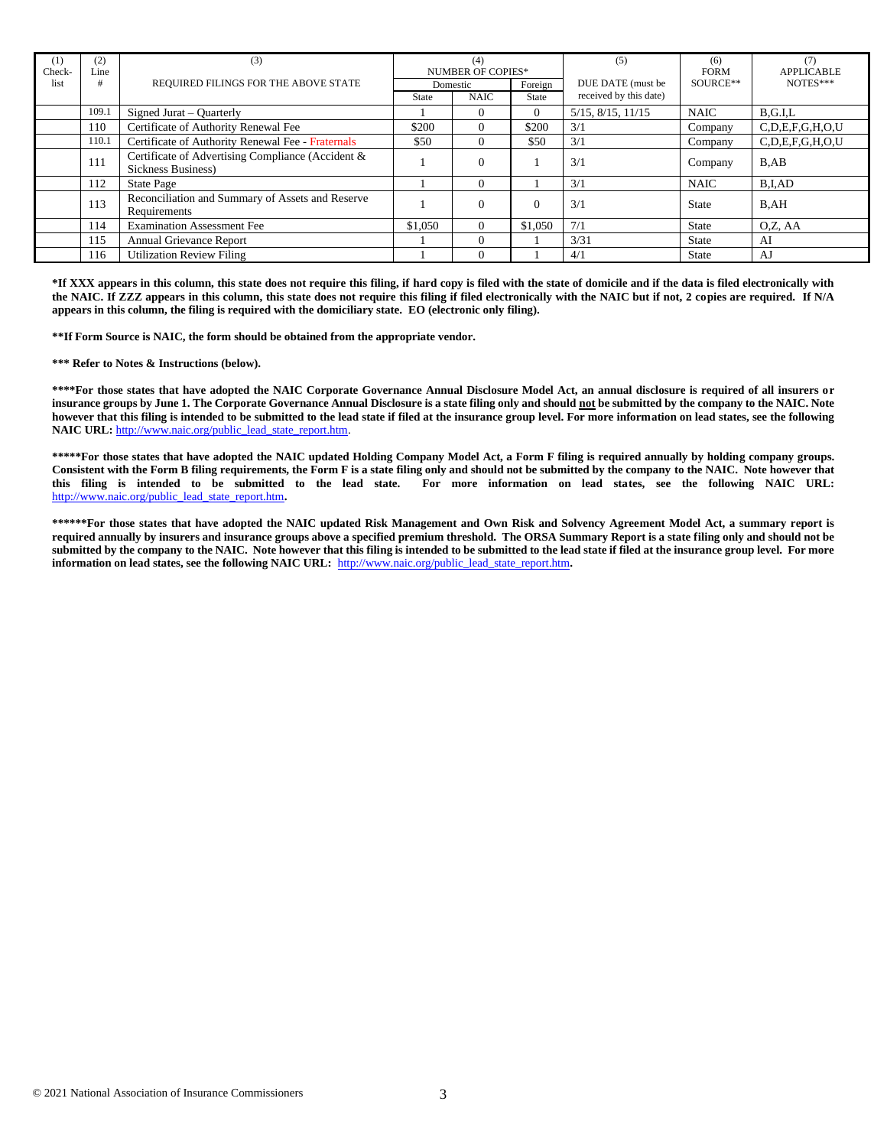| $\scriptstyle{(1)}$<br>Check- | (2)<br>Line | (3)                                                                     |              | (4)<br><b>NUMBER OF COPIES*</b> |         | (5)                       | (6)<br><b>FORM</b> | (7)<br><b>APPLICABLE</b> |
|-------------------------------|-------------|-------------------------------------------------------------------------|--------------|---------------------------------|---------|---------------------------|--------------------|--------------------------|
| list                          | #           | REQUIRED FILINGS FOR THE ABOVE STATE                                    |              | Domestic                        | Foreign | DUE DATE (must be         | SOURCE**           | NOTES***                 |
|                               |             |                                                                         | <b>State</b> | <b>NAIC</b>                     | State   | received by this date)    |                    |                          |
|                               | 109.1       | Signed Jurat – Quarterly                                                |              | 0                               |         | $5/15$ , $8/15$ , $11/15$ | <b>NAIC</b>        | B.G.I.L                  |
|                               | 110         | Certificate of Authority Renewal Fee                                    | \$200        | 0                               | \$200   | 3/1                       | Company            | C, D, E, F, G, H, O, U   |
|                               | 110.1       | Certificate of Authority Renewal Fee - Fraternals                       | \$50         | $\Omega$                        | \$50    | 3/1                       | Company            | C.D.E.F.G.H.O.U          |
|                               | 111         | Certificate of Advertising Compliance (Accident &<br>Sickness Business) |              | $\overline{0}$                  |         | 3/1                       | Company            | B, AB                    |
|                               | 112         | State Page                                                              |              | $\Omega$                        |         | 3/1                       | <b>NAIC</b>        | B.I.AD                   |
|                               | 113         | Reconciliation and Summary of Assets and Reserve<br>Requirements        |              | $\theta$                        |         | 3/1                       | <b>State</b>       | B,AH                     |
|                               | 114         | <b>Examination Assessment Fee</b>                                       | \$1,050      | $\Omega$                        | \$1,050 | 7/1                       | <b>State</b>       | O.Z. AA                  |
|                               | 115         | Annual Grievance Report                                                 |              | $\Omega$                        |         | 3/31                      | <b>State</b>       | AI                       |
|                               | 116         | <b>Utilization Review Filing</b>                                        |              | $\theta$                        |         | 4/1                       | <b>State</b>       | AJ                       |

**\*If XXX appears in this column, this state does not require this filing, if hard copy is filed with the state of domicile and if the data is filed electronically with the NAIC. If ZZZ appears in this column, this state does not require this filing if filed electronically with the NAIC but if not, 2 copies are required. If N/A appears in this column, the filing is required with the domiciliary state. EO (electronic only filing).**

**\*\*If Form Source is NAIC, the form should be obtained from the appropriate vendor.** 

**\*\*\* Refer to Notes & Instructions (below).**

**\*\*\*\*For those states that have adopted the NAIC Corporate Governance Annual Disclosure Model Act, an annual disclosure is required of all insurers or insurance groups by June 1. The Corporate Governance Annual Disclosure is a state filing only and should not be submitted by the company to the NAIC. Note however that this filing is intended to be submitted to the lead state if filed at the insurance group level. For more information on lead states, see the following**  NAIC URL: [http://www.naic.org/public\\_lead\\_state\\_report.htm.](http://www.naic.org/public_lead_state_report.htm)

**\*\*\*\*\*For those states that have adopted the NAIC updated Holding Company Model Act, a Form F filing is required annually by holding company groups. Consistent with the Form B filing requirements, the Form F is a state filing only and should not be submitted by the company to the NAIC. Note however that this filing is intended to be submitted to the lead state. For more information on lead states, see the following NAIC URL:**  [http://www.naic.org/public\\_lead\\_state\\_report.htm](http://www.naic.org/public_lead_state_report.htm)**.** 

**\*\*\*\*\*\*For those states that have adopted the NAIC updated Risk Management and Own Risk and Solvency Agreement Model Act, a summary report is required annually by insurers and insurance groups above a specified premium threshold. The ORSA Summary Report is a state filing only and should not be submitted by the company to the NAIC. Note however that this filing is intended to be submitted to the lead state if filed at the insurance group level. For more information on lead states, see the following NAIC URL:** [http://www.naic.org/public\\_lead\\_state\\_report.htm](http://www.naic.org/public_lead_state_report.htm).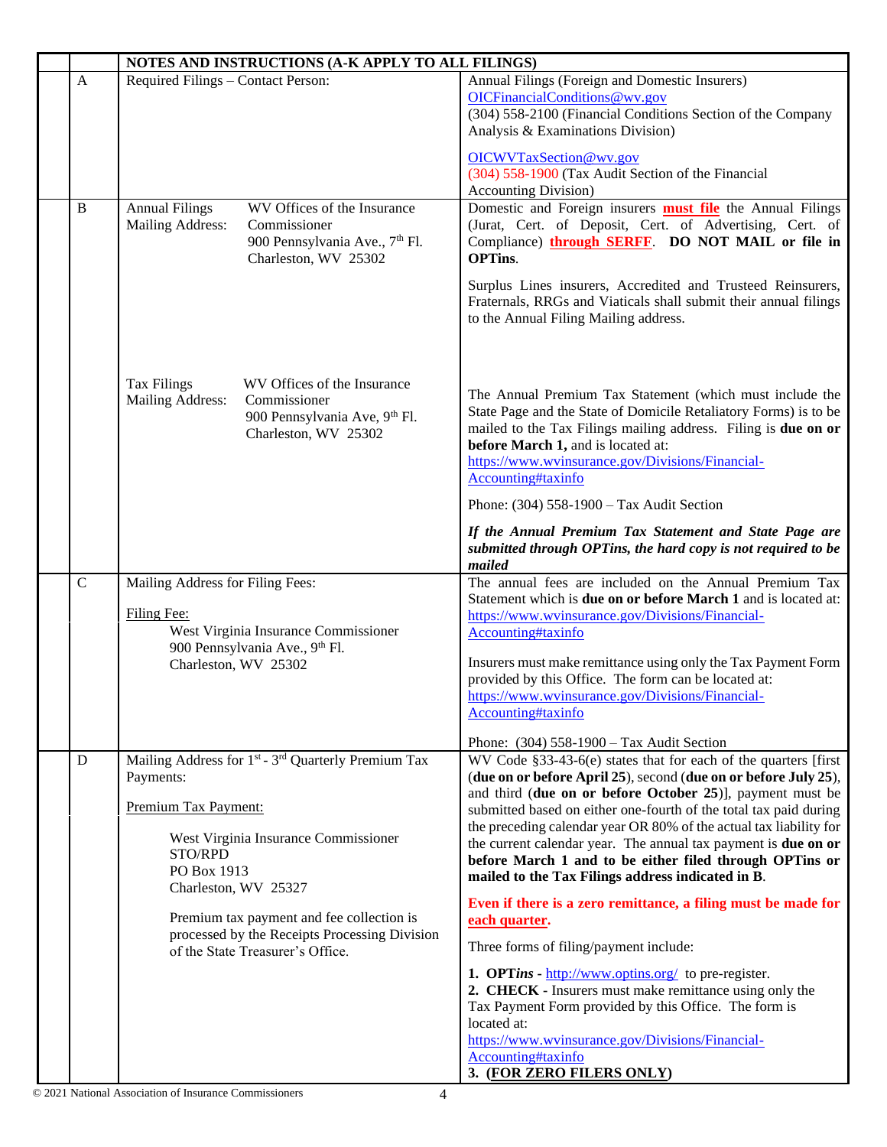|              | NOTES AND INSTRUCTIONS (A-K APPLY TO ALL FILINGS)                                                                                                                                                          |                                                                                                                                                                                                                                                                                                                                                                                                                                                                                                                               |  |
|--------------|------------------------------------------------------------------------------------------------------------------------------------------------------------------------------------------------------------|-------------------------------------------------------------------------------------------------------------------------------------------------------------------------------------------------------------------------------------------------------------------------------------------------------------------------------------------------------------------------------------------------------------------------------------------------------------------------------------------------------------------------------|--|
| $\mathbf{A}$ | Required Filings - Contact Person:                                                                                                                                                                         | Annual Filings (Foreign and Domestic Insurers)<br>OICFinancialConditions@wv.gov<br>(304) 558-2100 (Financial Conditions Section of the Company<br>Analysis & Examinations Division)<br>OICWVTaxSection@wv.gov<br>(304) 558-1900 (Tax Audit Section of the Financial<br><b>Accounting Division</b> )                                                                                                                                                                                                                           |  |
| B            | WV Offices of the Insurance<br><b>Annual Filings</b><br>Mailing Address:<br>Commissioner<br>900 Pennsylvania Ave., 7 <sup>th</sup> Fl.<br>Charleston, WV 25302                                             | Domestic and Foreign insurers <b>must file</b> the Annual Filings<br>(Jurat, Cert. of Deposit, Cert. of Advertising, Cert. of<br>Compliance) through SERFF. DO NOT MAIL or file in<br><b>OPTins.</b><br>Surplus Lines insurers, Accredited and Trusteed Reinsurers,<br>Fraternals, RRGs and Viaticals shall submit their annual filings<br>to the Annual Filing Mailing address.                                                                                                                                              |  |
|              | WV Offices of the Insurance<br><b>Tax Filings</b><br>Mailing Address:<br>Commissioner<br>900 Pennsylvania Ave, 9 <sup>th</sup> Fl.<br>Charleston, WV 25302                                                 | The Annual Premium Tax Statement (which must include the<br>State Page and the State of Domicile Retaliatory Forms) is to be<br>mailed to the Tax Filings mailing address. Filing is due on or<br>before March 1, and is located at:<br>https://www.wvinsurance.gov/Divisions/Financial-<br>Accounting#taxinfo<br>Phone: (304) 558-1900 - Tax Audit Section<br>If the Annual Premium Tax Statement and State Page are                                                                                                         |  |
|              |                                                                                                                                                                                                            | submitted through OPTins, the hard copy is not required to be<br>mailed                                                                                                                                                                                                                                                                                                                                                                                                                                                       |  |
| $\mathsf{C}$ | Mailing Address for Filing Fees:<br>Filing Fee:<br>West Virginia Insurance Commissioner<br>900 Pennsylvania Ave., 9th Fl.<br>Charleston, WV 25302                                                          | The annual fees are included on the Annual Premium Tax<br>Statement which is due on or before March 1 and is located at:<br>https://www.wvinsurance.gov/Divisions/Financial-<br>Accounting#taxinfo<br>Insurers must make remittance using only the Tax Payment Form<br>provided by this Office. The form can be located at:<br>https://www.wvinsurance.gov/Divisions/Financial-<br>Accounting#taxinfo                                                                                                                         |  |
|              |                                                                                                                                                                                                            | Phone: $(304)$ 558-1900 – Tax Audit Section                                                                                                                                                                                                                                                                                                                                                                                                                                                                                   |  |
| D            | Mailing Address for 1 <sup>st</sup> - 3 <sup>rd</sup> Quarterly Premium Tax<br>Payments:<br>Premium Tax Payment:<br>West Virginia Insurance Commissioner<br>STO/RPD<br>PO Box 1913<br>Charleston, WV 25327 | WV Code §33-43-6(e) states that for each of the quarters [first]<br>(due on or before April 25), second (due on or before July 25),<br>and third (due on or before October 25)], payment must be<br>submitted based on either one-fourth of the total tax paid during<br>the preceding calendar year OR 80% of the actual tax liability for<br>the current calendar year. The annual tax payment is due on or<br>before March 1 and to be either filed through OPTins or<br>mailed to the Tax Filings address indicated in B. |  |
|              | Premium tax payment and fee collection is<br>processed by the Receipts Processing Division<br>of the State Treasurer's Office.                                                                             | Even if there is a zero remittance, a filing must be made for<br>each quarter.<br>Three forms of filing/payment include:                                                                                                                                                                                                                                                                                                                                                                                                      |  |
|              |                                                                                                                                                                                                            | <b>1. OPTins - <math>\frac{http://www.optins.org/}{http://www.optins.org/})</math> to pre-register.</b><br>2. CHECK - Insurers must make remittance using only the<br>Tax Payment Form provided by this Office. The form is<br>located at:<br>https://www.wvinsurance.gov/Divisions/Financial-<br>Accounting#taxinfo<br>3. (FOR ZERO FILERS ONLY)                                                                                                                                                                             |  |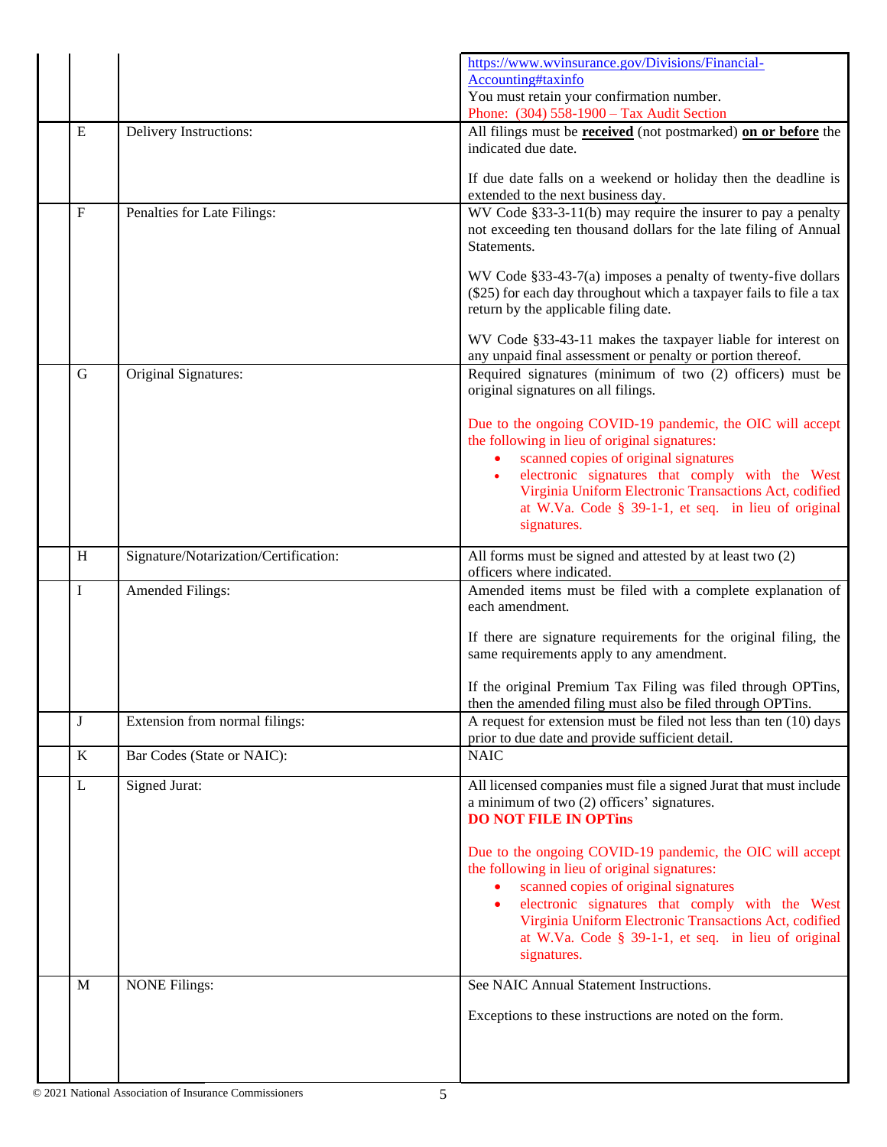|             |                                       | https://www.wvinsurance.gov/Divisions/Financial-<br>Accounting#taxinfo<br>You must retain your confirmation number.<br>Phone: (304) 558-1900 - Tax Audit Section                                                                                                                                                                                    |
|-------------|---------------------------------------|-----------------------------------------------------------------------------------------------------------------------------------------------------------------------------------------------------------------------------------------------------------------------------------------------------------------------------------------------------|
| ${\bf E}$   | Delivery Instructions:                | All filings must be <b>received</b> (not postmarked) on or before the<br>indicated due date.                                                                                                                                                                                                                                                        |
|             |                                       | If due date falls on a weekend or holiday then the deadline is<br>extended to the next business day.                                                                                                                                                                                                                                                |
| $\mathbf F$ | Penalties for Late Filings:           | WV Code §33-3-11(b) may require the insurer to pay a penalty<br>not exceeding ten thousand dollars for the late filing of Annual<br>Statements.                                                                                                                                                                                                     |
|             |                                       | WV Code §33-43-7(a) imposes a penalty of twenty-five dollars<br>(\$25) for each day throughout which a taxpayer fails to file a tax<br>return by the applicable filing date.                                                                                                                                                                        |
|             |                                       | WV Code §33-43-11 makes the taxpayer liable for interest on<br>any unpaid final assessment or penalty or portion thereof.                                                                                                                                                                                                                           |
| G           | Original Signatures:                  | Required signatures (minimum of two (2) officers) must be<br>original signatures on all filings.                                                                                                                                                                                                                                                    |
|             |                                       | Due to the ongoing COVID-19 pandemic, the OIC will accept<br>the following in lieu of original signatures:<br>scanned copies of original signatures<br>electronic signatures that comply with the West<br>Virginia Uniform Electronic Transactions Act, codified<br>at W.Va. Code § 39-1-1, et seq. in lieu of original<br>signatures.              |
| H           | Signature/Notarization/Certification: | All forms must be signed and attested by at least two (2)                                                                                                                                                                                                                                                                                           |
| I           | <b>Amended Filings:</b>               | officers where indicated.<br>Amended items must be filed with a complete explanation of<br>each amendment.                                                                                                                                                                                                                                          |
|             |                                       | If there are signature requirements for the original filing, the<br>same requirements apply to any amendment.                                                                                                                                                                                                                                       |
|             |                                       | If the original Premium Tax Filing was filed through OPTins,<br>then the amended filing must also be filed through OPTins.                                                                                                                                                                                                                          |
| J           | Extension from normal filings:        | A request for extension must be filed not less than ten (10) days<br>prior to due date and provide sufficient detail.                                                                                                                                                                                                                               |
| K           | Bar Codes (State or NAIC):            | <b>NAIC</b>                                                                                                                                                                                                                                                                                                                                         |
| L           | Signed Jurat:                         | All licensed companies must file a signed Jurat that must include<br>a minimum of two (2) officers' signatures.<br><b>DO NOT FILE IN OPTINS</b>                                                                                                                                                                                                     |
|             |                                       | Due to the ongoing COVID-19 pandemic, the OIC will accept<br>the following in lieu of original signatures:<br>scanned copies of original signatures<br>electronic signatures that comply with the West<br>$\bullet$<br>Virginia Uniform Electronic Transactions Act, codified<br>at W.Va. Code § 39-1-1, et seq. in lieu of original<br>signatures. |
| M           | <b>NONE Filings:</b>                  | See NAIC Annual Statement Instructions.                                                                                                                                                                                                                                                                                                             |
|             |                                       | Exceptions to these instructions are noted on the form.                                                                                                                                                                                                                                                                                             |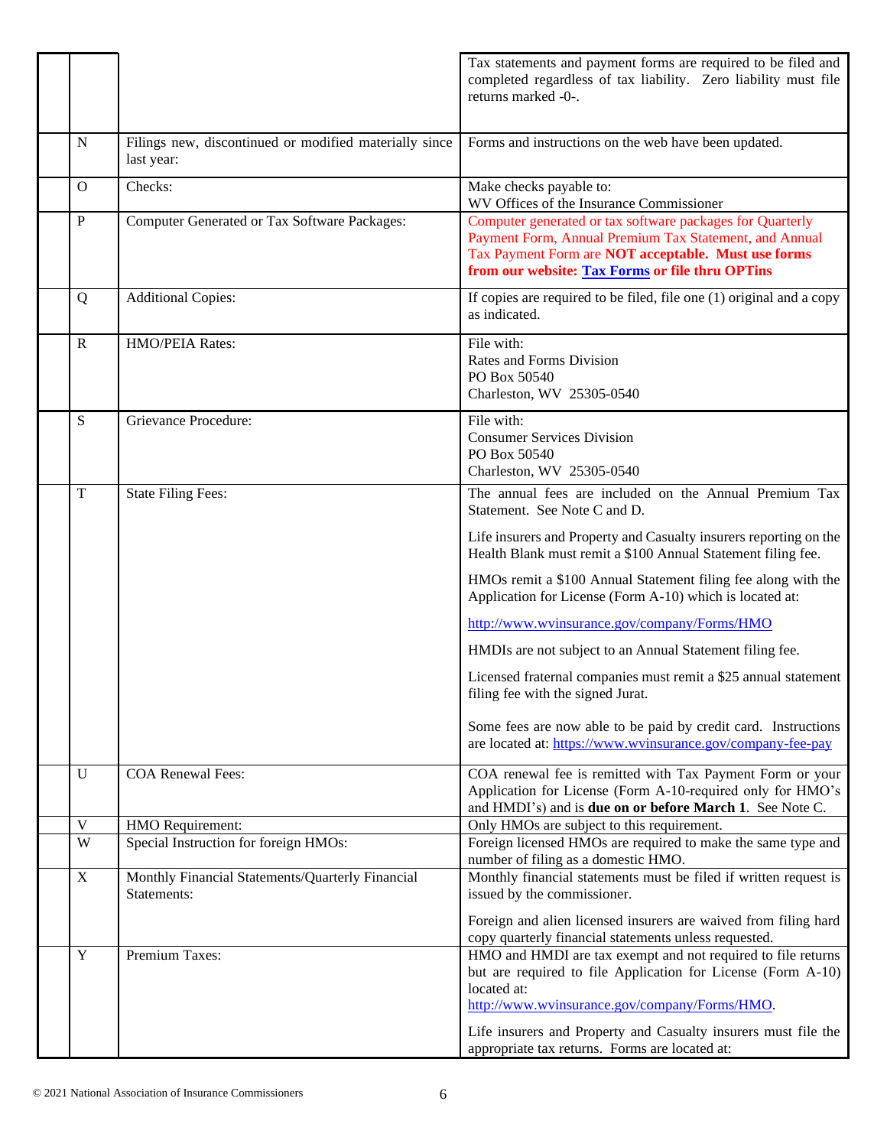|             |                                                                      | Tax statements and payment forms are required to be filed and<br>completed regardless of tax liability. Zero liability must file<br>returns marked -0-.                                                                       |
|-------------|----------------------------------------------------------------------|-------------------------------------------------------------------------------------------------------------------------------------------------------------------------------------------------------------------------------|
| N           | Filings new, discontinued or modified materially since<br>last year: | Forms and instructions on the web have been updated.                                                                                                                                                                          |
| O           | Checks:                                                              | Make checks payable to:<br>WV Offices of the Insurance Commissioner                                                                                                                                                           |
| $\mathbf P$ | Computer Generated or Tax Software Packages:                         | Computer generated or tax software packages for Quarterly<br>Payment Form, Annual Premium Tax Statement, and Annual<br>Tax Payment Form are NOT acceptable. Must use forms<br>from our website: Tax Forms or file thru OPTins |
| Q           | <b>Additional Copies:</b>                                            | If copies are required to be filed, file one (1) original and a copy<br>as indicated.                                                                                                                                         |
| $\mathbf R$ | HMO/PEIA Rates:                                                      | File with:<br>Rates and Forms Division<br>PO Box 50540<br>Charleston, WV 25305-0540                                                                                                                                           |
| S           | Grievance Procedure:                                                 | File with:<br><b>Consumer Services Division</b><br>PO Box 50540<br>Charleston, WV 25305-0540                                                                                                                                  |
| T           | <b>State Filing Fees:</b>                                            | The annual fees are included on the Annual Premium Tax<br>Statement. See Note C and D.                                                                                                                                        |
|             |                                                                      | Life insurers and Property and Casualty insurers reporting on the<br>Health Blank must remit a \$100 Annual Statement filing fee.                                                                                             |
|             |                                                                      | HMOs remit a \$100 Annual Statement filing fee along with the<br>Application for License (Form A-10) which is located at:                                                                                                     |
|             |                                                                      | http://www.wvinsurance.gov/company/Forms/HMO                                                                                                                                                                                  |
|             |                                                                      | HMDIs are not subject to an Annual Statement filing fee.                                                                                                                                                                      |
|             |                                                                      | Licensed fraternal companies must remit a \$25 annual statement<br>filing fee with the signed Jurat.                                                                                                                          |
|             |                                                                      | Some fees are now able to be paid by credit card. Instructions<br>are located at: https://www.wvinsurance.gov/company-fee-pay                                                                                                 |
| U           | <b>COA Renewal Fees:</b>                                             | COA renewal fee is remitted with Tax Payment Form or your<br>Application for License (Form A-10-required only for HMO's<br>and HMDI's) and is <b>due on or before March 1</b> . See Note C.                                   |
| V           | HMO Requirement:                                                     | Only HMOs are subject to this requirement.                                                                                                                                                                                    |
| W           | Special Instruction for foreign HMOs:                                | Foreign licensed HMOs are required to make the same type and<br>number of filing as a domestic HMO.                                                                                                                           |
| X           | Monthly Financial Statements/Quarterly Financial<br>Statements:      | Monthly financial statements must be filed if written request is<br>issued by the commissioner.                                                                                                                               |
|             |                                                                      | Foreign and alien licensed insurers are waived from filing hard<br>copy quarterly financial statements unless requested.                                                                                                      |
| $\mathbf Y$ | Premium Taxes:                                                       | HMO and HMDI are tax exempt and not required to file returns<br>but are required to file Application for License (Form A-10)<br>located at:<br>http://www.wvinsurance.gov/company/Forms/HMO.                                  |
|             |                                                                      | Life insurers and Property and Casualty insurers must file the<br>appropriate tax returns. Forms are located at:                                                                                                              |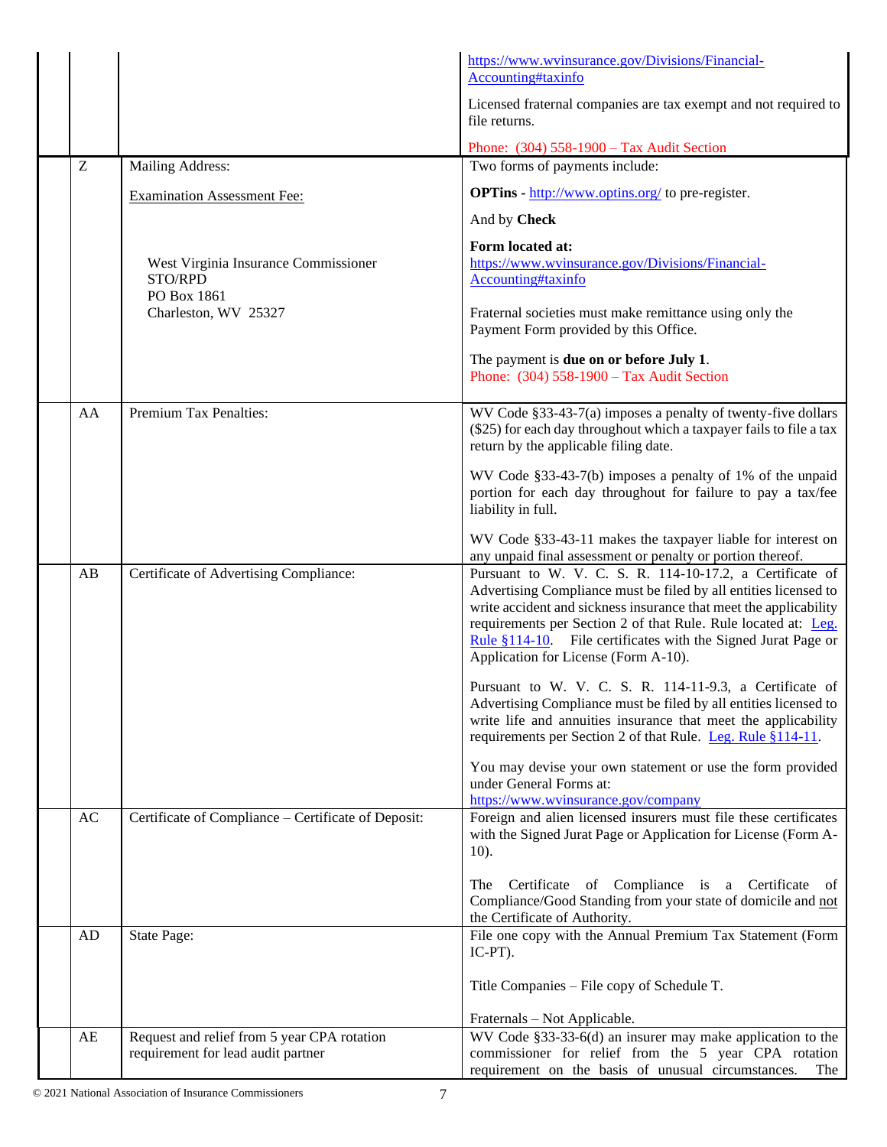|    |                                                     | https://www.wvinsurance.gov/Divisions/Financial-<br>Accounting#taxinfo                                                                                                                                                                                                                                                                                                          |
|----|-----------------------------------------------------|---------------------------------------------------------------------------------------------------------------------------------------------------------------------------------------------------------------------------------------------------------------------------------------------------------------------------------------------------------------------------------|
|    |                                                     | Licensed fraternal companies are tax exempt and not required to<br>file returns.                                                                                                                                                                                                                                                                                                |
|    |                                                     | Phone: $(304)$ 558-1900 – Tax Audit Section                                                                                                                                                                                                                                                                                                                                     |
| Z  | Mailing Address:                                    | Two forms of payments include:                                                                                                                                                                                                                                                                                                                                                  |
|    | <b>Examination Assessment Fee:</b>                  | <b>OPTins</b> - $\frac{http://www.optins.org/}{http://www.optins.org/})$ to pre-register.                                                                                                                                                                                                                                                                                       |
|    |                                                     | And by Check                                                                                                                                                                                                                                                                                                                                                                    |
|    | West Virginia Insurance Commissioner                | Form located at:<br>https://www.wvinsurance.gov/Divisions/Financial-                                                                                                                                                                                                                                                                                                            |
|    | STO/RPD<br>PO Box 1861                              | Accounting#taxinfo                                                                                                                                                                                                                                                                                                                                                              |
|    | Charleston, WV 25327                                | Fraternal societies must make remittance using only the<br>Payment Form provided by this Office.                                                                                                                                                                                                                                                                                |
|    |                                                     | The payment is due on or before July 1.<br>Phone: (304) 558-1900 - Tax Audit Section                                                                                                                                                                                                                                                                                            |
| AA | Premium Tax Penalties:                              | WV Code §33-43-7(a) imposes a penalty of twenty-five dollars<br>(\$25) for each day throughout which a taxpayer fails to file a tax<br>return by the applicable filing date.                                                                                                                                                                                                    |
|    |                                                     | WV Code §33-43-7(b) imposes a penalty of 1% of the unpaid<br>portion for each day throughout for failure to pay a tax/fee<br>liability in full.                                                                                                                                                                                                                                 |
|    |                                                     | WV Code §33-43-11 makes the taxpayer liable for interest on<br>any unpaid final assessment or penalty or portion thereof.                                                                                                                                                                                                                                                       |
| AB | Certificate of Advertising Compliance:              | Pursuant to W. V. C. S. R. 114-10-17.2, a Certificate of<br>Advertising Compliance must be filed by all entities licensed to<br>write accident and sickness insurance that meet the applicability<br>requirements per Section 2 of that Rule. Rule located at: Leg.<br>Rule $§114-10$ . File certificates with the Signed Jurat Page or<br>Application for License (Form A-10). |
|    |                                                     | Pursuant to W. V. C. S. R. 114-11-9.3, a Certificate of<br>Advertising Compliance must be filed by all entities licensed to<br>write life and annuities insurance that meet the applicability<br>requirements per Section 2 of that Rule. Leg. Rule §114-11.                                                                                                                    |
|    |                                                     | You may devise your own statement or use the form provided<br>under General Forms at:<br>https://www.wvinsurance.gov/company                                                                                                                                                                                                                                                    |
| AC | Certificate of Compliance - Certificate of Deposit: | Foreign and alien licensed insurers must file these certificates<br>with the Signed Jurat Page or Application for License (Form A-<br>$10$ ).                                                                                                                                                                                                                                   |
|    |                                                     | Certificate of Compliance is a Certificate of<br>The<br>Compliance/Good Standing from your state of domicile and not<br>the Certificate of Authority.                                                                                                                                                                                                                           |
| AD | State Page:                                         | File one copy with the Annual Premium Tax Statement (Form<br>IC-PT).                                                                                                                                                                                                                                                                                                            |
|    |                                                     | Title Companies – File copy of Schedule T.                                                                                                                                                                                                                                                                                                                                      |
|    |                                                     | Fraternals - Not Applicable.                                                                                                                                                                                                                                                                                                                                                    |
| AE | Request and relief from 5 year CPA rotation         | WV Code $§$ 33-33-6(d) an insurer may make application to the                                                                                                                                                                                                                                                                                                                   |
|    | requirement for lead audit partner                  | commissioner for relief from the 5 year CPA rotation<br>requirement on the basis of unusual circumstances.<br>The                                                                                                                                                                                                                                                               |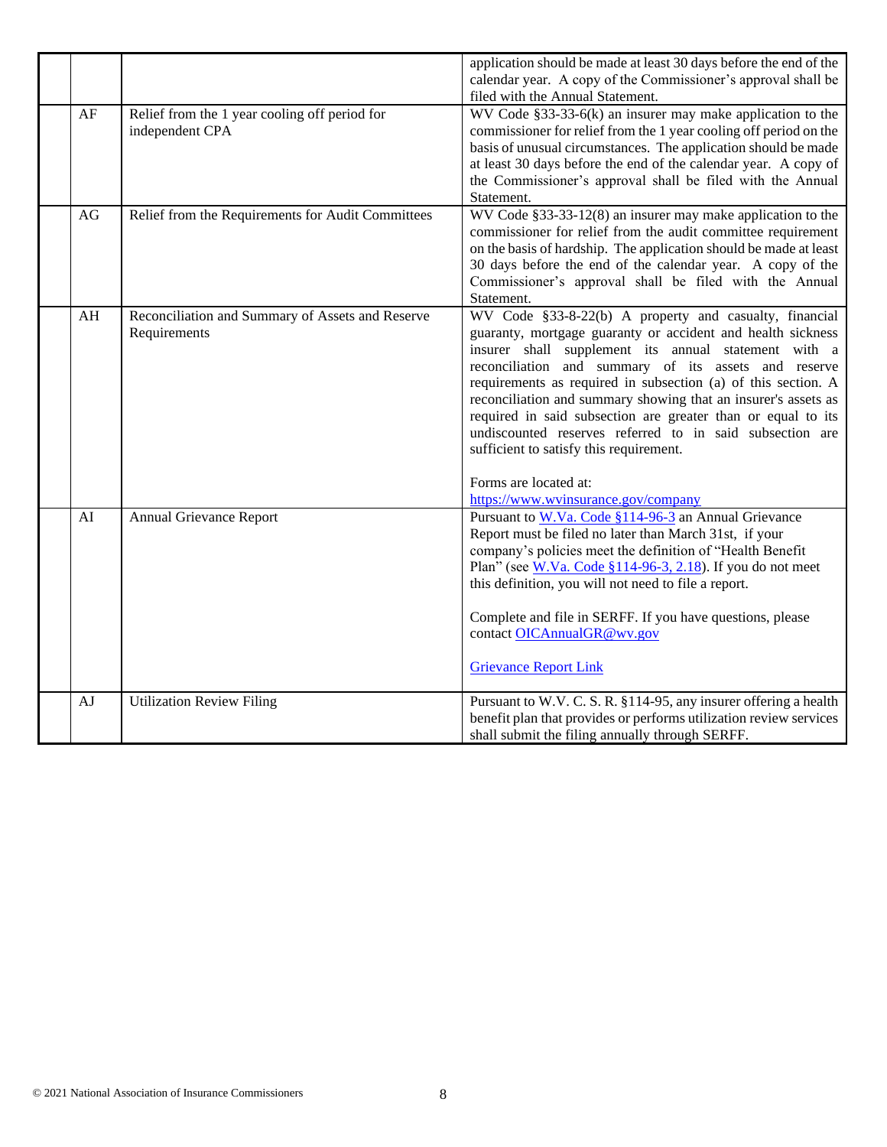|    |                                                                  | application should be made at least 30 days before the end of the<br>calendar year. A copy of the Commissioner's approval shall be<br>filed with the Annual Statement.                                                                                                                                                                                                                                                                                                                                                                                                   |
|----|------------------------------------------------------------------|--------------------------------------------------------------------------------------------------------------------------------------------------------------------------------------------------------------------------------------------------------------------------------------------------------------------------------------------------------------------------------------------------------------------------------------------------------------------------------------------------------------------------------------------------------------------------|
| AF | Relief from the 1 year cooling off period for<br>independent CPA | WV Code $§$ 33-33-6(k) an insurer may make application to the<br>commissioner for relief from the 1 year cooling off period on the<br>basis of unusual circumstances. The application should be made<br>at least 30 days before the end of the calendar year. A copy of<br>the Commissioner's approval shall be filed with the Annual<br>Statement.                                                                                                                                                                                                                      |
| AG | Relief from the Requirements for Audit Committees                | WV Code §33-33-12(8) an insurer may make application to the<br>commissioner for relief from the audit committee requirement<br>on the basis of hardship. The application should be made at least<br>30 days before the end of the calendar year. A copy of the<br>Commissioner's approval shall be filed with the Annual<br>Statement.                                                                                                                                                                                                                                   |
| AH | Reconciliation and Summary of Assets and Reserve<br>Requirements | WV Code §33-8-22(b) A property and casualty, financial<br>guaranty, mortgage guaranty or accident and health sickness<br>insurer shall supplement its annual statement with a<br>reconciliation and summary of its assets and reserve<br>requirements as required in subsection (a) of this section. A<br>reconciliation and summary showing that an insurer's assets as<br>required in said subsection are greater than or equal to its<br>undiscounted reserves referred to in said subsection are<br>sufficient to satisfy this requirement.<br>Forms are located at: |
| AI | Annual Grievance Report                                          | https://www.wvinsurance.gov/company<br>Pursuant to W.Va. Code §114-96-3 an Annual Grievance<br>Report must be filed no later than March 31st, if your<br>company's policies meet the definition of "Health Benefit<br>Plan" (see W.Va. Code §114-96-3, 2.18). If you do not meet<br>this definition, you will not need to file a report.                                                                                                                                                                                                                                 |
|    |                                                                  | Complete and file in SERFF. If you have questions, please<br>contact OICAnnualGR@wv.gov<br><b>Grievance Report Link</b>                                                                                                                                                                                                                                                                                                                                                                                                                                                  |
| AJ | <b>Utilization Review Filing</b>                                 | Pursuant to W.V. C. S. R. §114-95, any insurer offering a health<br>benefit plan that provides or performs utilization review services<br>shall submit the filing annually through SERFF.                                                                                                                                                                                                                                                                                                                                                                                |